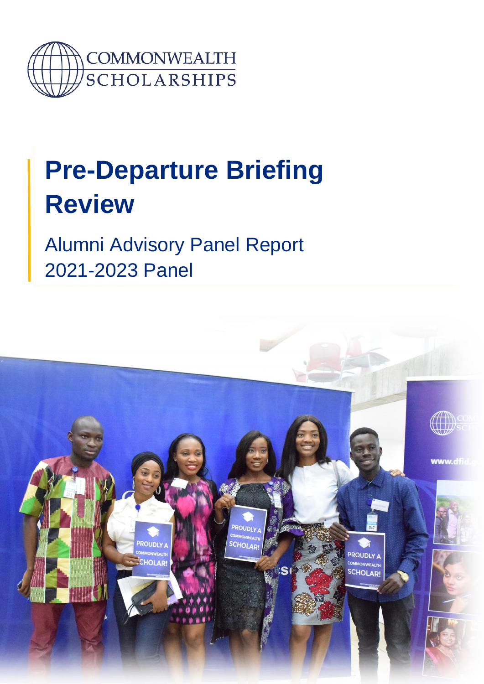

# **Pre-Departure Briefing Review**

Alumni Advisory Panel Report 2021-2023 Panel

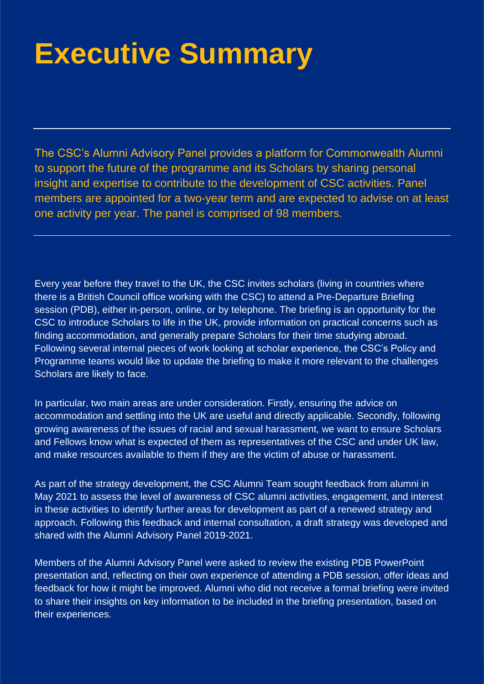# **Executive Summary**

The CSC's Alumni Advisory Panel provides a platform for Commonwealth Alumni to support the future of the programme and its Scholars by sharing personal insight and expertise to contribute to the development of CSC activities. Panel members are appointed for a two-year term and are expected to advise on at least one activity per year. The panel is comprised of 98 members.

Every year before they travel to the UK, the CSC invites scholars (living in countries where there is a British Council office working with the CSC) to attend a Pre-Departure Briefing session (PDB), either in-person, online, or by telephone. The briefing is an opportunity for the CSC to introduce Scholars to life in the UK, provide information on practical concerns such as finding accommodation, and generally prepare Scholars for their time studying abroad. Following several internal pieces of work looking at scholar experience, the CSC's Policy and Programme teams would like to update the briefing to make it more relevant to the challenges Scholars are likely to face.

In particular, two main areas are under consideration. Firstly, ensuring the advice on accommodation and settling into the UK are useful and directly applicable. Secondly, following growing awareness of the issues of racial and sexual harassment, we want to ensure Scholars and Fellows know what is expected of them as representatives of the CSC and under UK law, and make resources available to them if they are the victim of abuse or harassment.

As part of the strategy development, the CSC Alumni Team sought feedback from alumni in May 2021 to assess the level of awareness of CSC alumni activities, engagement, and interest in these activities to identify further areas for development as part of a renewed strategy and approach. Following this feedback and internal consultation, a draft strategy was developed and shared with the Alumni Advisory Panel 2019-2021.

Members of the Alumni Advisory Panel were asked to review the existing PDB PowerPoint presentation and, reflecting on their own experience of attending a PDB session, offer ideas and feedback for how it might be improved. Alumni who did not receive a formal briefing were invited to share their insights on key information to be included in the briefing presentation, based on their experiences.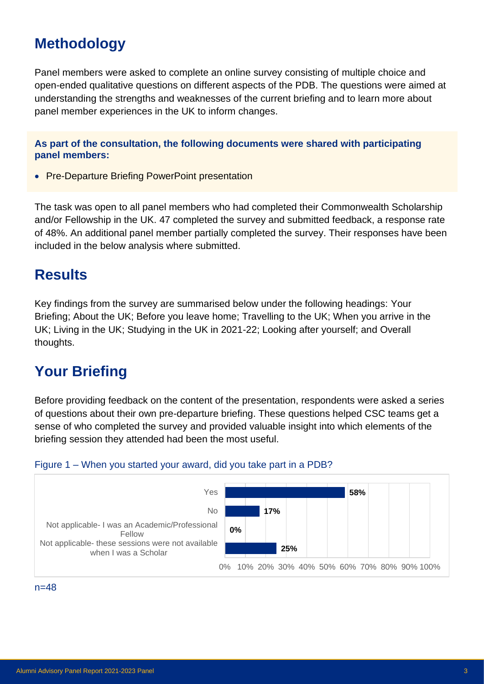# **Methodology**

Panel members were asked to complete an online survey consisting of multiple choice and open-ended qualitative questions on different aspects of the PDB. The questions were aimed at understanding the strengths and weaknesses of the current briefing and to learn more about panel member experiences in the UK to inform changes.

**As part of the consultation, the following documents were shared with participating panel members:**

• Pre-Departure Briefing PowerPoint presentation

The task was open to all panel members who had completed their Commonwealth Scholarship and/or Fellowship in the UK. 47 completed the survey and submitted feedback, a response rate of 48%. An additional panel member partially completed the survey. Their responses have been included in the below analysis where submitted.

### **Results**

Key findings from the survey are summarised below under the following headings: Your Briefing; About the UK; Before you leave home; Travelling to the UK; When you arrive in the UK; Living in the UK; Studying in the UK in 2021-22; Looking after yourself; and Overall thoughts.

# **Your Briefing**

Before providing feedback on the content of the presentation, respondents were asked a series of questions about their own pre-departure briefing. These questions helped CSC teams get a sense of who completed the survey and provided valuable insight into which elements of the briefing session they attended had been the most useful.



### Figure 1 – When you started your award, did you take part in a PDB?

#### $n=48$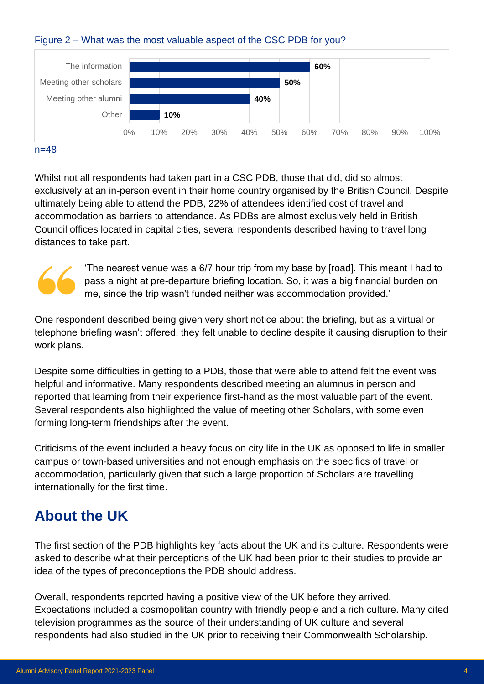#### Figure 2 – What was the most valuable aspect of the CSC PDB for you?



#### $n=48$

Whilst not all respondents had taken part in a CSC PDB, those that did, did so almost exclusively at an in-person event in their home country organised by the British Council. Despite ultimately being able to attend the PDB, 22% of attendees identified cost of travel and accommodation as barriers to attendance. As PDBs are almost exclusively held in British Council offices located in capital cities, several respondents described having to travel long distances to take part.



'The nearest venue was a 6/7 hour trip from my base by [road]. This meant I had to pass a night at pre-departure briefing location. So, it was a big financial burden on me, since the trip wasn't funded neither was accommodation provided.'

One respondent described being given very short notice about the briefing, but as a virtual or telephone briefing wasn't offered, they felt unable to decline despite it causing disruption to their work plans.

Despite some difficulties in getting to a PDB, those that were able to attend felt the event was helpful and informative. Many respondents described meeting an alumnus in person and reported that learning from their experience first-hand as the most valuable part of the event. Several respondents also highlighted the value of meeting other Scholars, with some even forming long-term friendships after the event.

Criticisms of the event included a heavy focus on city life in the UK as opposed to life in smaller campus or town-based universities and not enough emphasis on the specifics of travel or accommodation, particularly given that such a large proportion of Scholars are travelling internationally for the first time.

# **About the UK**

The first section of the PDB highlights key facts about the UK and its culture. Respondents were asked to describe what their perceptions of the UK had been prior to their studies to provide an idea of the types of preconceptions the PDB should address.

Overall, respondents reported having a positive view of the UK before they arrived. Expectations included a cosmopolitan country with friendly people and a rich culture. Many cited television programmes as the source of their understanding of UK culture and several respondents had also studied in the UK prior to receiving their Commonwealth Scholarship.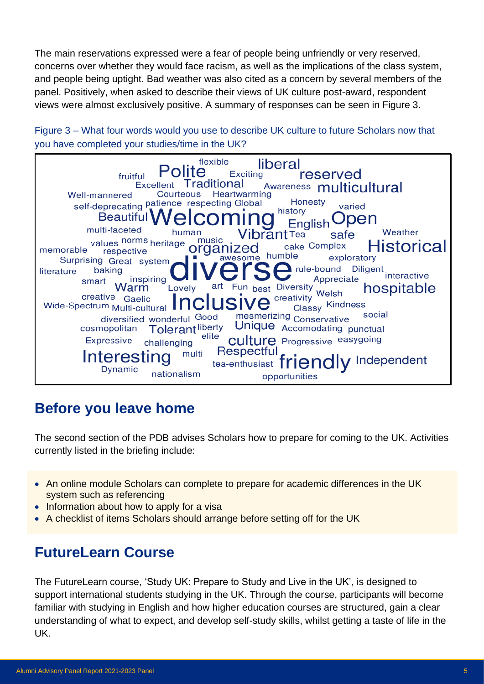The main reservations expressed were a fear of people being unfriendly or very reserved, concerns over whether they would face racism, as well as the implications of the class system, and people being uptight. Bad weather was also cited as a concern by several members of the panel. Positively, when asked to describe their views of UK culture post-award, respondent views were almost exclusively positive. A summary of responses can be seen in Figure 3.

Figure 3 – What four words would you use to describe UK culture to future Scholars now that you have completed your studies/time in the UK?



# **Before you leave home**

The second section of the PDB advises Scholars how to prepare for coming to the UK. Activities currently listed in the briefing include:

- An online module Scholars can complete to prepare for academic differences in the UK system such as referencing
- Information about how to apply for a visa
- A checklist of items Scholars should arrange before setting off for the UK

# **FutureLearn Course**

The FutureLearn course, 'Study UK: Prepare to Study and Live in the UK', is designed to support international students studying in the UK. Through the course, participants will become familiar with studying in English and how higher education courses are structured, gain a clear understanding of what to expect, and develop self-study skills, whilst getting a taste of life in the UK.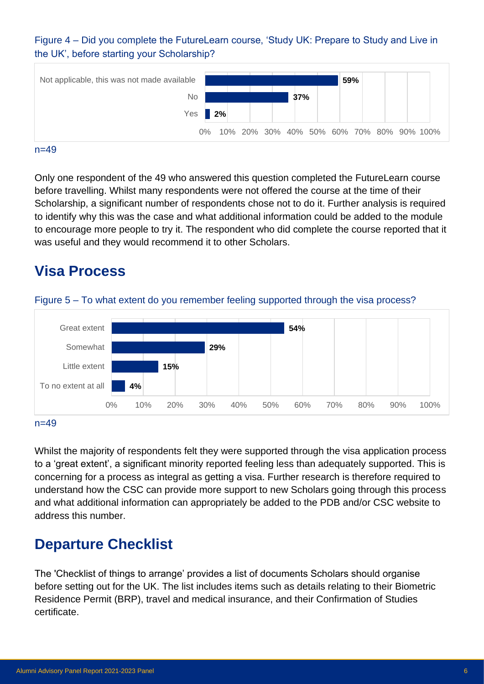Figure 4 – Did you complete the FutureLearn course, 'Study UK: Prepare to Study and Live in the UK', before starting your Scholarship?



#### $n=49$

 $n=49$ 

Only one respondent of the 49 who answered this question completed the FutureLearn course before travelling. Whilst many respondents were not offered the course at the time of their Scholarship, a significant number of respondents chose not to do it. Further analysis is required to identify why this was the case and what additional information could be added to the module to encourage more people to try it. The respondent who did complete the course reported that it was useful and they would recommend it to other Scholars.

### **Visa Process**



Figure 5 – To what extent do you remember feeling supported through the visa process?

Whilst the majority of respondents felt they were supported through the visa application process to a 'great extent', a significant minority reported feeling less than adequately supported. This is concerning for a process as integral as getting a visa. Further research is therefore required to understand how the CSC can provide more support to new Scholars going through this process and what additional information can appropriately be added to the PDB and/or CSC website to address this number.

### **Departure Checklist**

The 'Checklist of things to arrange' provides a list of documents Scholars should organise before setting out for the UK. The list includes items such as details relating to their Biometric Residence Permit (BRP), travel and medical insurance, and their Confirmation of Studies certificate.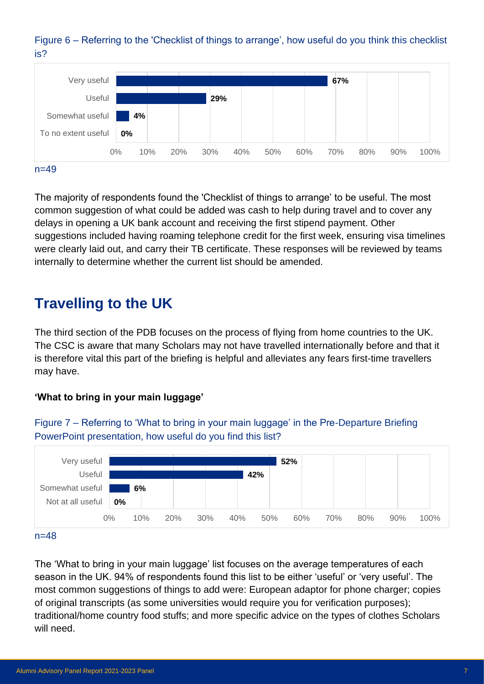



The majority of respondents found the 'Checklist of things to arrange' to be useful. The most common suggestion of what could be added was cash to help during travel and to cover any delays in opening a UK bank account and receiving the first stipend payment. Other suggestions included having roaming telephone credit for the first week, ensuring visa timelines were clearly laid out, and carry their TB certificate. These responses will be reviewed by teams internally to determine whether the current list should be amended.

# **Travelling to the UK**

The third section of the PDB focuses on the process of flying from home countries to the UK. The CSC is aware that many Scholars may not have travelled internationally before and that it is therefore vital this part of the briefing is helpful and alleviates any fears first-time travellers may have.

### **'What to bring in your main luggage'**



Figure 7 – Referring to 'What to bring in your main luggage' in the Pre-Departure Briefing PowerPoint presentation, how useful do you find this list?

#### $n=48$

The 'What to bring in your main luggage' list focuses on the average temperatures of each season in the UK. 94% of respondents found this list to be either 'useful' or 'very useful'. The most common suggestions of things to add were: European adaptor for phone charger; copies of original transcripts (as some universities would require you for verification purposes); traditional/home country food stuffs; and more specific advice on the types of clothes Scholars will need.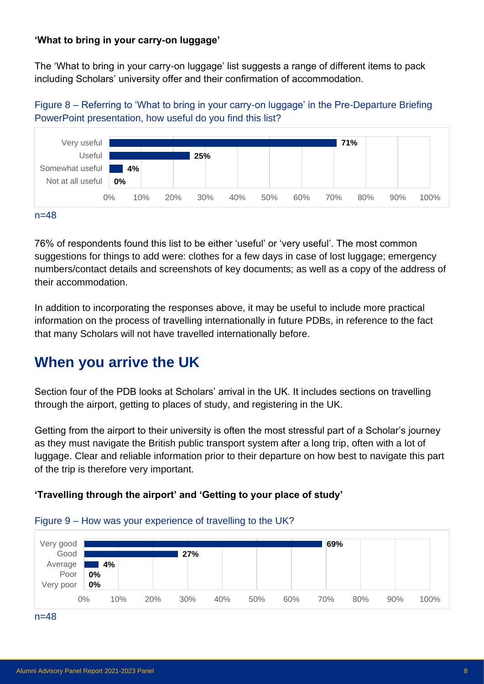#### **'What to bring in your carry-on luggage'**

The 'What to bring in your carry-on luggage' list suggests a range of different items to pack including Scholars' university offer and their confirmation of accommodation.

Figure 8 – Referring to 'What to bring in your carry-on luggage' in the Pre-Departure Briefing PowerPoint presentation, how useful do you find this list?



76% of respondents found this list to be either 'useful' or 'very useful'. The most common suggestions for things to add were: clothes for a few days in case of lost luggage; emergency numbers/contact details and screenshots of key documents; as well as a copy of the address of their accommodation.

In addition to incorporating the responses above, it may be useful to include more practical information on the process of travelling internationally in future PDBs, in reference to the fact that many Scholars will not have travelled internationally before.

# **When you arrive the UK**

Section four of the PDB looks at Scholars' arrival in the UK. It includes sections on travelling through the airport, getting to places of study, and registering in the UK.

Getting from the airport to their university is often the most stressful part of a Scholar's journey as they must navigate the British public transport system after a long trip, often with a lot of luggage. Clear and reliable information prior to their departure on how best to navigate this part of the trip is therefore very important.

### **'Travelling through the airport' and 'Getting to your place of study'**



#### Figure 9 – How was your experience of travelling to the UK?

n=48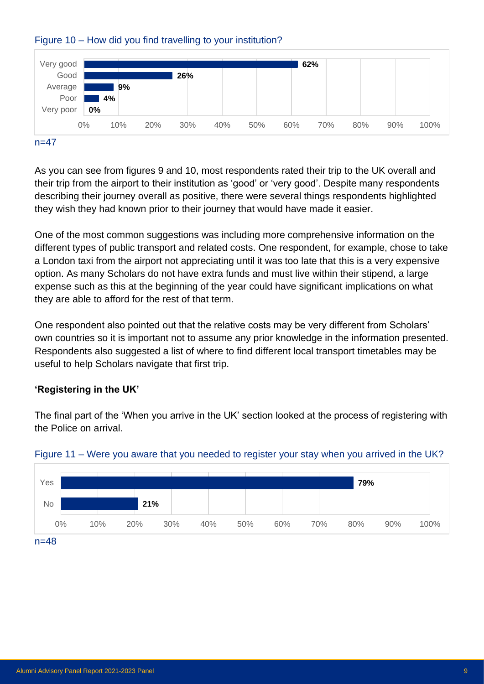



#### $n=47$

As you can see from figures 9 and 10, most respondents rated their trip to the UK overall and their trip from the airport to their institution as 'good' or 'very good'. Despite many respondents describing their journey overall as positive, there were several things respondents highlighted they wish they had known prior to their journey that would have made it easier.

One of the most common suggestions was including more comprehensive information on the different types of public transport and related costs. One respondent, for example, chose to take a London taxi from the airport not appreciating until it was too late that this is a very expensive option. As many Scholars do not have extra funds and must live within their stipend, a large expense such as this at the beginning of the year could have significant implications on what they are able to afford for the rest of that term.

One respondent also pointed out that the relative costs may be very different from Scholars' own countries so it is important not to assume any prior knowledge in the information presented. Respondents also suggested a list of where to find different local transport timetables may be useful to help Scholars navigate that first trip.

### **'Registering in the UK'**

The final part of the 'When you arrive in the UK' section looked at the process of registering with the Police on arrival.



#### Figure 11 – Were you aware that you needed to register your stay when you arrived in the UK?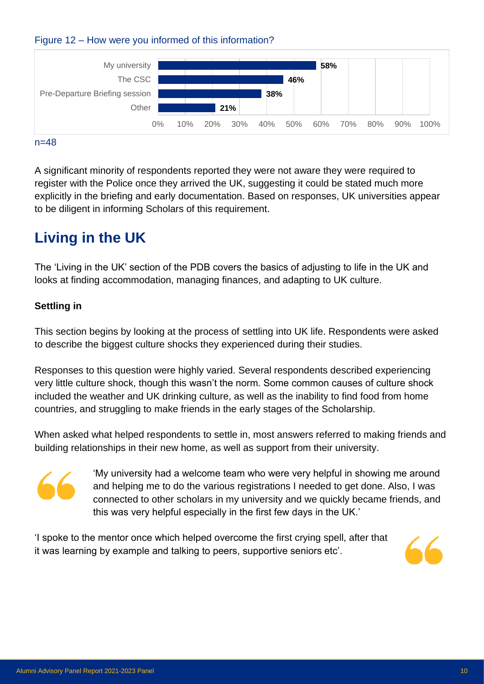



#### $n=48$

A significant minority of respondents reported they were not aware they were required to register with the Police once they arrived the UK, suggesting it could be stated much more explicitly in the briefing and early documentation. Based on responses, UK universities appear to be diligent in informing Scholars of this requirement.

# **Living in the UK**

The 'Living in the UK' section of the PDB covers the basics of adjusting to life in the UK and looks at finding accommodation, managing finances, and adapting to UK culture.

#### **Settling in**

This section begins by looking at the process of settling into UK life. Respondents were asked to describe the biggest culture shocks they experienced during their studies.

Responses to this question were highly varied. Several respondents described experiencing very little culture shock, though this wasn't the norm. Some common causes of culture shock included the weather and UK drinking culture, as well as the inability to find food from home countries, and struggling to make friends in the early stages of the Scholarship.

When asked what helped respondents to settle in, most answers referred to making friends and building relationships in their new home, as well as support from their university.



'My university had a welcome team who were very helpful in showing me around and helping me to do the various registrations I needed to get done. Also, I was connected to other scholars in my university and we quickly became friends, and this was very helpful especially in the first few days in the UK.'

'I spoke to the mentor once which helped overcome the first crying spell, after that it was learning by example and talking to peers, supportive seniors etc'.

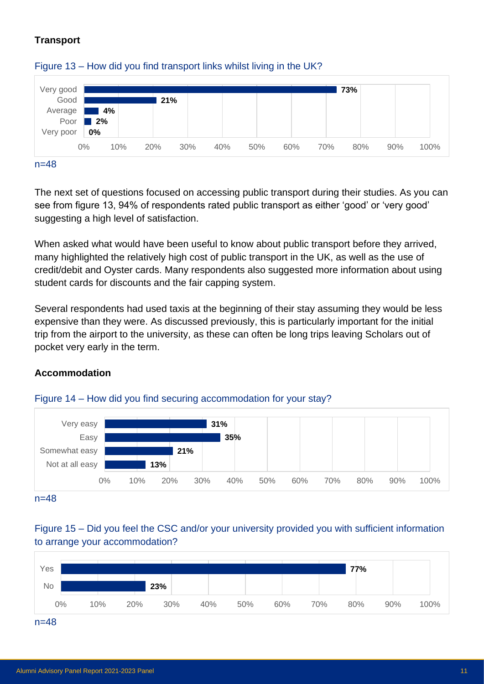### **Transport**



#### Figure 13 – How did you find transport links whilst living in the UK?

The next set of questions focused on accessing public transport during their studies. As you can see from figure 13, 94% of respondents rated public transport as either 'good' or 'very good' suggesting a high level of satisfaction.

When asked what would have been useful to know about public transport before they arrived, many highlighted the relatively high cost of public transport in the UK, as well as the use of credit/debit and Oyster cards. Many respondents also suggested more information about using student cards for discounts and the fair capping system.

Several respondents had used taxis at the beginning of their stay assuming they would be less expensive than they were. As discussed previously, this is particularly important for the initial trip from the airport to the university, as these can often be long trips leaving Scholars out of pocket very early in the term.

### **Accommodation**





n=48

### Figure 15 – Did you feel the CSC and/or your university provided you with sufficient information to arrange your accommodation?

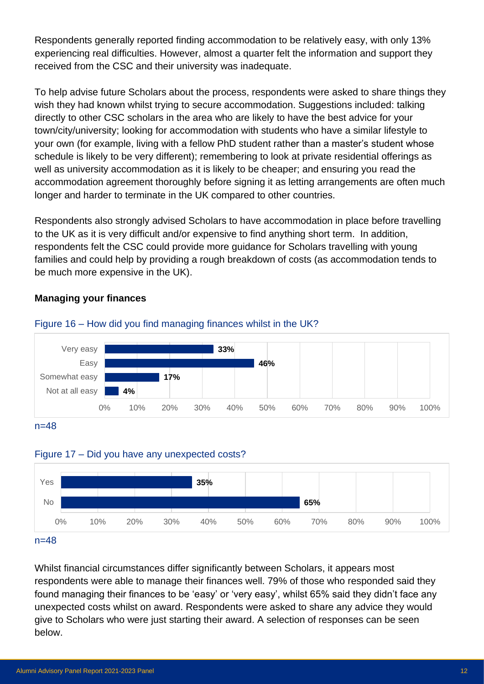Respondents generally reported finding accommodation to be relatively easy, with only 13% experiencing real difficulties. However, almost a quarter felt the information and support they received from the CSC and their university was inadequate.

To help advise future Scholars about the process, respondents were asked to share things they wish they had known whilst trying to secure accommodation. Suggestions included: talking directly to other CSC scholars in the area who are likely to have the best advice for your town/city/university; looking for accommodation with students who have a similar lifestyle to your own (for example, living with a fellow PhD student rather than a master's student whose schedule is likely to be very different); remembering to look at private residential offerings as well as university accommodation as it is likely to be cheaper; and ensuring you read the accommodation agreement thoroughly before signing it as letting arrangements are often much longer and harder to terminate in the UK compared to other countries.

Respondents also strongly advised Scholars to have accommodation in place before travelling to the UK as it is very difficult and/or expensive to find anything short term. In addition, respondents felt the CSC could provide more guidance for Scholars travelling with young families and could help by providing a rough breakdown of costs (as accommodation tends to be much more expensive in the UK).

#### n=48 **33% 46% 17% 4%** 0% 10% 20% 30% 40% 50% 60% 70% 80% 90% 100% Very easy Easy Somewhat easy Not at all easy

### **Managing your finances**



Figure 16 – How did you find managing finances whilst in the UK?



### Figure 17 – Did you have any unexpected costs?

Whilst financial circumstances differ significantly between Scholars, it appears most respondents were able to manage their finances well. 79% of those who responded said they found managing their finances to be 'easy' or 'very easy', whilst 65% said they didn't face any unexpected costs whilst on award. Respondents were asked to share any advice they would give to Scholars who were just starting their award. A selection of responses can be seen below.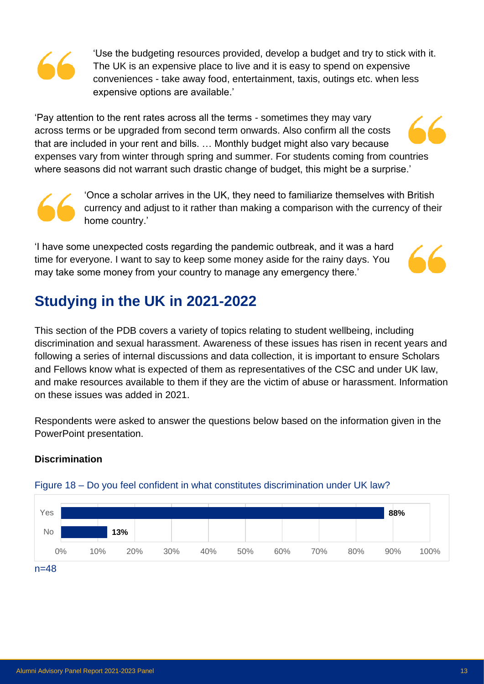'Use the budgeting resources provided, develop a budget and try to stick with it. The UK is an expensive place to live and it is easy to spend on expensive conveniences - take away food, entertainment, taxis, outings etc. when less expensive options are available.'

'Pay attention to the rent rates across all the terms - sometimes they may vary across terms or be upgraded from second term onwards. Also confirm all the costs that are included in your rent and bills. … Monthly budget might also vary because expenses vary from winter through spring and summer. For students coming from countries where seasons did not warrant such drastic change of budget, this might be a surprise.'



'Once a scholar arrives in the UK, they need to familiarize themselves with British currency and adjust to it rather than making a comparison with the currency of their home country.'

'I have some unexpected costs regarding the pandemic outbreak, and it was a hard time for everyone. I want to say to keep some money aside for the rainy days. You may take some money from your country to manage any emergency there.'



# **Studying in the UK in 2021-2022**

This section of the PDB covers a variety of topics relating to student wellbeing, including discrimination and sexual harassment. Awareness of these issues has risen in recent years and following a series of internal discussions and data collection, it is important to ensure Scholars and Fellows know what is expected of them as representatives of the CSC and under UK law, and make resources available to them if they are the victim of abuse or harassment. Information on these issues was added in 2021.

Respondents were asked to answer the questions below based on the information given in the PowerPoint presentation.



### **Discrimination**

### Figure 18 – Do you feel confident in what constitutes discrimination under UK law?

n=48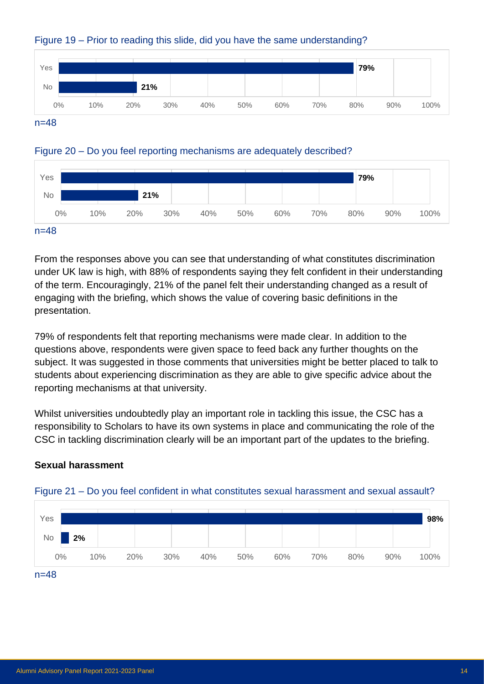

### Figure 19 – Prior to reading this slide, did you have the same understanding?

### Figure 20 – Do you feel reporting mechanisms are adequately described?



From the responses above you can see that understanding of what constitutes discrimination under UK law is high, with 88% of respondents saying they felt confident in their understanding of the term. Encouragingly, 21% of the panel felt their understanding changed as a result of engaging with the briefing, which shows the value of covering basic definitions in the presentation.

79% of respondents felt that reporting mechanisms were made clear. In addition to the questions above, respondents were given space to feed back any further thoughts on the subject. It was suggested in those comments that universities might be better placed to talk to students about experiencing discrimination as they are able to give specific advice about the reporting mechanisms at that university.

Whilst universities undoubtedly play an important role in tackling this issue, the CSC has a responsibility to Scholars to have its own systems in place and communicating the role of the CSC in tackling discrimination clearly will be an important part of the updates to the briefing.

### **Sexual harassment**



### Figure 21 – Do you feel confident in what constitutes sexual harassment and sexual assault?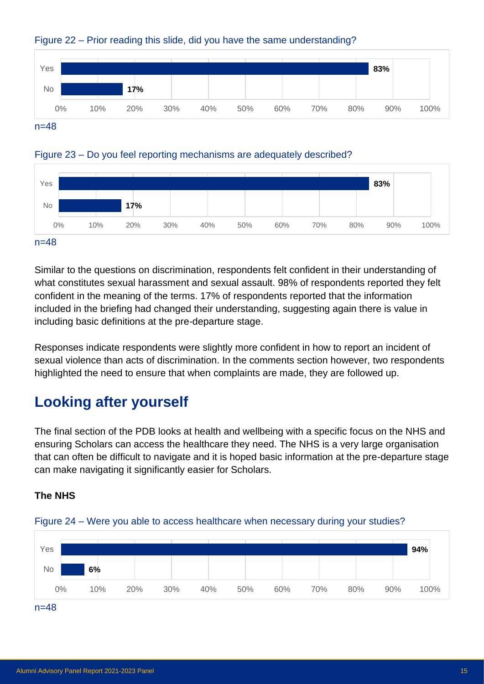

### Figure 22 – Prior reading this slide, did you have the same understanding?





#### n=48

Similar to the questions on discrimination, respondents felt confident in their understanding of what constitutes sexual harassment and sexual assault. 98% of respondents reported they felt confident in the meaning of the terms. 17% of respondents reported that the information included in the briefing had changed their understanding, suggesting again there is value in including basic definitions at the pre-departure stage.

Responses indicate respondents were slightly more confident in how to report an incident of sexual violence than acts of discrimination. In the comments section however, two respondents highlighted the need to ensure that when complaints are made, they are followed up.

# **Looking after yourself**

The final section of the PDB looks at health and wellbeing with a specific focus on the NHS and ensuring Scholars can access the healthcare they need. The NHS is a very large organisation that can often be difficult to navigate and it is hoped basic information at the pre-departure stage can make navigating it significantly easier for Scholars.

### **The NHS**